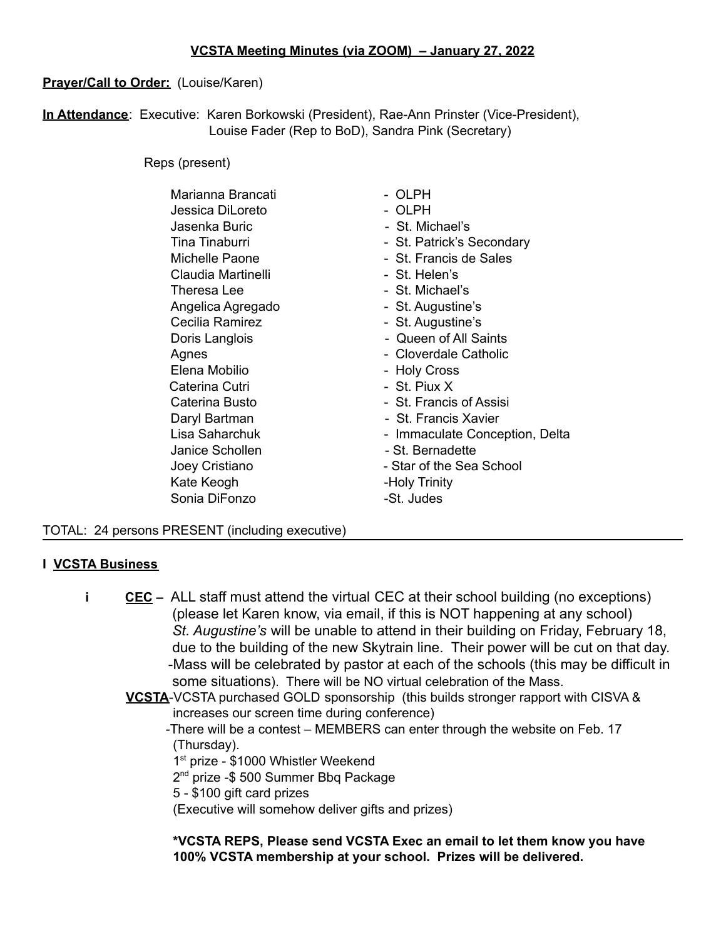# **Prayer/Call to Order:** (Louise/Karen)

**In Attendance**: Executive: Karen Borkowski (President), Rae-Ann Prinster (Vice-President), Louise Fader (Rep to BoD), Sandra Pink (Secretary)

Reps (present)

| Marianna Brancati  | - OLPH                         |
|--------------------|--------------------------------|
| Jessica DiLoreto   | - OLPH                         |
| Jasenka Buric      | - St. Michael's                |
| Tina Tinaburri     | - St. Patrick's Secondary      |
| Michelle Paone     | - St. Francis de Sales         |
| Claudia Martinelli | - St. Helen's                  |
| Theresa Lee        | - St. Michael's                |
| Angelica Agregado  | - St. Augustine's              |
| Cecilia Ramirez    | - St. Augustine's              |
| Doris Langlois     | - Queen of All Saints          |
| Agnes              | - Cloverdale Catholic          |
| Elena Mobilio      | - Holy Cross                   |
| Caterina Cutri     | - St. Piux X                   |
| Caterina Busto     | - St. Francis of Assisi        |
| Daryl Bartman      | - St. Francis Xavier           |
| Lisa Saharchuk     | - Immaculate Conception, Delta |
| Janice Schollen    | - St. Bernadette               |
| Joey Cristiano     | - Star of the Sea School       |
| Kate Keogh         | -Holy Trinity                  |
| Sonia DiFonzo      | -St. Judes                     |
|                    |                                |

## TOTAL: 24 persons PRESENT (including executive)

## **I VCSTA Business**

- **i CEC –** ALL staff must attend the virtual CEC at their school building (no exceptions) (please let Karen know, via email, if this is NOT happening at any school) *St. Augustine's* will be unable to attend in their building on Friday, February 18, due to the building of the new Skytrain line. Their power will be cut on that day. -Mass will be celebrated by pastor at each of the schools (this may be difficult in some situations). There will be NO virtual celebration of the Mass.
	- **VCSTA**-VCSTA purchased GOLD sponsorship (this builds stronger rapport with CISVA & increases our screen time during conference)
		- -There will be a contest MEMBERS can enter through the website on Feb. 17 (Thursday).
			- 1<sup>st</sup> prize \$1000 Whistler Weekend
			- 2 nd prize -\$ 500 Summer Bbq Package
			- 5 \$100 gift card prizes
			- (Executive will somehow deliver gifts and prizes)

**\*VCSTA REPS, Please send VCSTA Exec an email to let them know you have 100% VCSTA membership at your school. Prizes will be delivered.**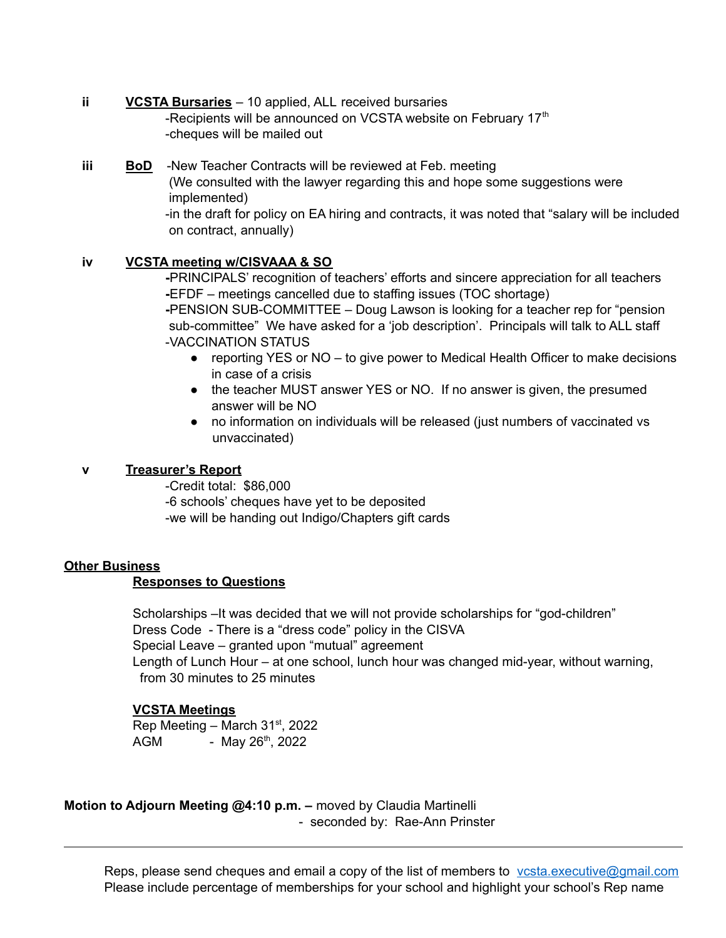#### **ii VCSTA Bursaries** – 10 applied, ALL received bursaries -Recipients will be announced on VCSTA website on February 17<sup>th</sup> -cheques will be mailed out

#### **iii BoD** -New Teacher Contracts will be reviewed at Feb. meeting (We consulted with the lawyer regarding this and hope some suggestions were implemented) -in the draft for policy on EA hiring and contracts, it was noted that "salary will be included on contract, annually)

## **iv VCSTA meeting w/CISVAAA & SO**

**-**PRINCIPALS' recognition of teachers' efforts and sincere appreciation for all teachers **-**EFDF – meetings cancelled due to staffing issues (TOC shortage) **-**PENSION SUB-COMMITTEE – Doug Lawson is looking for a teacher rep for "pension sub-committee" We have asked for a 'job description'. Principals will talk to ALL staff -VACCINATION STATUS

- reporting YES or NO to give power to Medical Health Officer to make decisions in case of a crisis
- the teacher MUST answer YES or NO. If no answer is given, the presumed answer will be NO
- no information on individuals will be released (just numbers of vaccinated vs unvaccinated)

## **v Treasurer's Report**

-Credit total: \$86,000 -6 schools' cheques have yet to be deposited -we will be handing out Indigo/Chapters gift cards

## **Other Business**

## **Responses to Questions**

Scholarships –It was decided that we will not provide scholarships for "god-children" Dress Code - There is a "dress code" policy in the CISVA Special Leave – granted upon "mutual" agreement Length of Lunch Hour – at one school, lunch hour was changed mid-year, without warning, from 30 minutes to 25 minutes

## **VCSTA Meetings**

Rep Meeting – March  $31<sup>st</sup>$ , 2022 AGM - May 26<sup>th</sup>, 2022

**Motion to Adjourn Meeting @4:10 p.m. –** moved by Claudia Martinelli - seconded by: Rae-Ann Prinster

Reps, please send cheques and email a copy of the list of members to vesta.executive@gmail.com Please include percentage of memberships for your school and highlight your school's Rep name